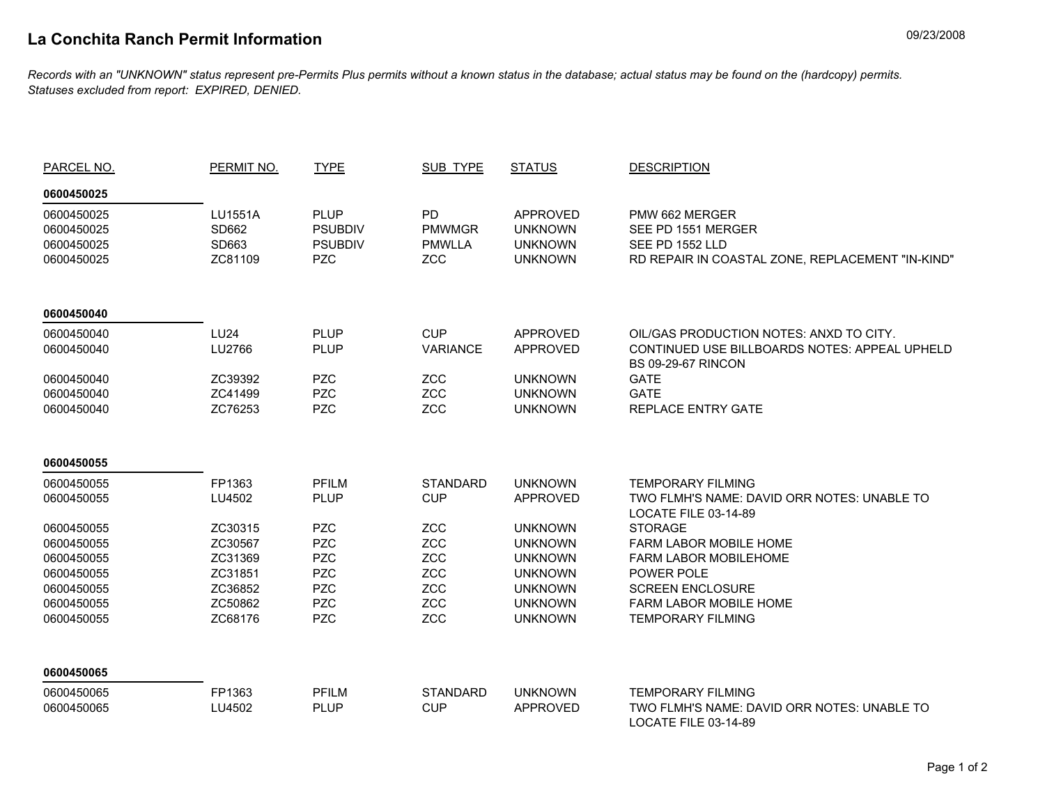## **La Conchita Ranch Permit Information** 09/23/2008

*Records with an "UNKNOWN" status represent pre-Permits Plus permits without a known status in the database; actual status may be found on the (hardcopy) permits. Statuses excluded from report: EXPIRED, DENIED.*

| PARCEL NO. | PERMIT NO.  | <b>TYPE</b>    | SUB TYPE        | <b>STATUS</b>   | <b>DESCRIPTION</b>                                                         |  |
|------------|-------------|----------------|-----------------|-----------------|----------------------------------------------------------------------------|--|
| 0600450025 |             |                |                 |                 |                                                                            |  |
| 0600450025 | LU1551A     | <b>PLUP</b>    | <b>PD</b>       | <b>APPROVED</b> | PMW 662 MERGER                                                             |  |
| 0600450025 | SD662       | <b>PSUBDIV</b> | <b>PMWMGR</b>   | <b>UNKNOWN</b>  | SEE PD 1551 MERGER                                                         |  |
| 0600450025 | SD663       | <b>PSUBDIV</b> | <b>PMWLLA</b>   | <b>UNKNOWN</b>  | SEE PD 1552 LLD                                                            |  |
| 0600450025 | ZC81109     | <b>PZC</b>     | <b>ZCC</b>      | <b>UNKNOWN</b>  | RD REPAIR IN COASTAL ZONE, REPLACEMENT "IN-KIND"                           |  |
| 0600450040 |             |                |                 |                 |                                                                            |  |
| 0600450040 | <b>LU24</b> | <b>PLUP</b>    | <b>CUP</b>      | <b>APPROVED</b> | OIL/GAS PRODUCTION NOTES: ANXD TO CITY.                                    |  |
| 0600450040 | LU2766      | <b>PLUP</b>    | <b>VARIANCE</b> | <b>APPROVED</b> | CONTINUED USE BILLBOARDS NOTES: APPEAL UPHELD<br><b>BS 09-29-67 RINCON</b> |  |
| 0600450040 | ZC39392     | <b>PZC</b>     | <b>ZCC</b>      | <b>UNKNOWN</b>  | <b>GATE</b>                                                                |  |
| 0600450040 | ZC41499     | <b>PZC</b>     | ZCC             | <b>UNKNOWN</b>  | <b>GATE</b>                                                                |  |
| 0600450040 | ZC76253     | <b>PZC</b>     | ZCC             | <b>UNKNOWN</b>  | <b>REPLACE ENTRY GATE</b>                                                  |  |
| 0600450055 |             |                |                 |                 |                                                                            |  |
| 0600450055 | FP1363      | <b>PFILM</b>   | <b>STANDARD</b> | <b>UNKNOWN</b>  | <b>TEMPORARY FILMING</b>                                                   |  |
| 0600450055 | LU4502      | <b>PLUP</b>    | <b>CUP</b>      | <b>APPROVED</b> | TWO FLMH'S NAME: DAVID ORR NOTES: UNABLE TO<br>LOCATE FILE 03-14-89        |  |
| 0600450055 | ZC30315     | <b>PZC</b>     | <b>ZCC</b>      | <b>UNKNOWN</b>  | <b>STORAGE</b>                                                             |  |
| 0600450055 | ZC30567     | <b>PZC</b>     | ZCC             | <b>UNKNOWN</b>  | <b>FARM LABOR MOBILE HOME</b>                                              |  |
| 0600450055 | ZC31369     | <b>PZC</b>     | ZCC             | <b>UNKNOWN</b>  | FARM LABOR MOBILEHOME                                                      |  |
| 0600450055 | ZC31851     | <b>PZC</b>     | ZCC             | <b>UNKNOWN</b>  | POWER POLE                                                                 |  |
| 0600450055 | ZC36852     | <b>PZC</b>     | <b>ZCC</b>      | <b>UNKNOWN</b>  | <b>SCREEN ENCLOSURE</b>                                                    |  |
| 0600450055 | ZC50862     | <b>PZC</b>     | <b>ZCC</b>      | <b>UNKNOWN</b>  | <b>FARM LABOR MOBILE HOME</b>                                              |  |
| 0600450055 | ZC68176     | <b>PZC</b>     | <b>ZCC</b>      | <b>UNKNOWN</b>  | <b>TEMPORARY FILMING</b>                                                   |  |
| 0600450065 |             |                |                 |                 |                                                                            |  |
| 0600450065 | FP1363      | <b>PFILM</b>   | <b>STANDARD</b> | <b>UNKNOWN</b>  | <b>TEMPORARY FILMING</b>                                                   |  |
| 0600450065 | LU4502      | <b>PLUP</b>    | <b>CUP</b>      | <b>APPROVED</b> | TWO FLMH'S NAME: DAVID ORR NOTES: UNABLE TO<br>LOCATE FILE 03-14-89        |  |